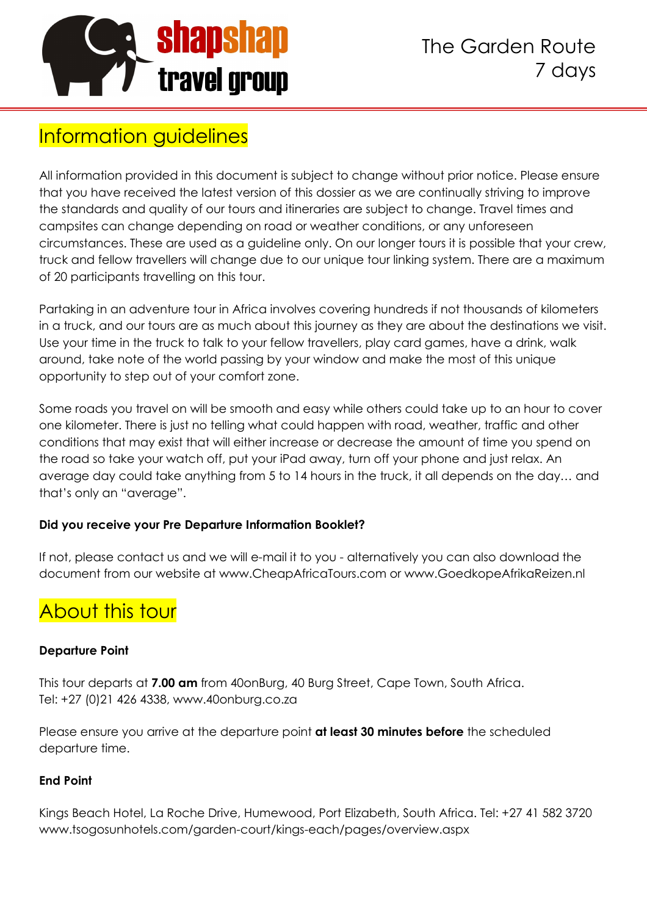

## Information guidelines

All information provided in this document is subject to change without prior notice. Please ensure that you have received the latest version of this dossier as we are continually striving to improve the standards and quality of our tours and itineraries are subject to change. Travel times and campsites can change depending on road or weather conditions, or any unforeseen circumstances. These are used as a guideline only. On our longer tours it is possible that your crew, truck and fellow travellers will change due to our unique tour linking system. There are a maximum of 20 participants travelling on this tour.

Partaking in an adventure tour in Africa involves covering hundreds if not thousands of kilometers in a truck, and our tours are as much about this journey as they are about the destinations we visit. Use your time in the truck to talk to your fellow travellers, play card games, have a drink, walk around, take note of the world passing by your window and make the most of this unique opportunity to step out of your comfort zone.

Some roads you travel on will be smooth and easy while others could take up to an hour to cover one kilometer. There is just no telling what could happen with road, weather, traffic and other conditions that may exist that will either increase or decrease the amount of time you spend on the road so take your watch off, put your iPad away, turn off your phone and just relax. An average day could take anything from 5 to 14 hours in the truck, it all depends on the day… and that's only an "average".

#### **Did you receive your Pre Departure Information Booklet?**

If not, please contact us and we will e-mail it to you - alternatively you can also download the document from our website at www.CheapAfricaTours.com or www.GoedkopeAfrikaReizen.nl

# About this tour

#### **Departure Point**

This tour departs at **7.00 am** from 40onBurg, 40 Burg Street, Cape Town, South Africa. Tel: +27 (0)21 426 4338, www.40onburg.co.za

Please ensure you arrive at the departure point **at least 30 minutes before** the scheduled departure time.

#### **End Point**

Kings Beach Hotel, La Roche Drive, Humewood, Port Elizabeth, South Africa. Tel: +27 41 582 3720 www.tsogosunhotels.com/garden-court/kings-each/pages/overview.aspx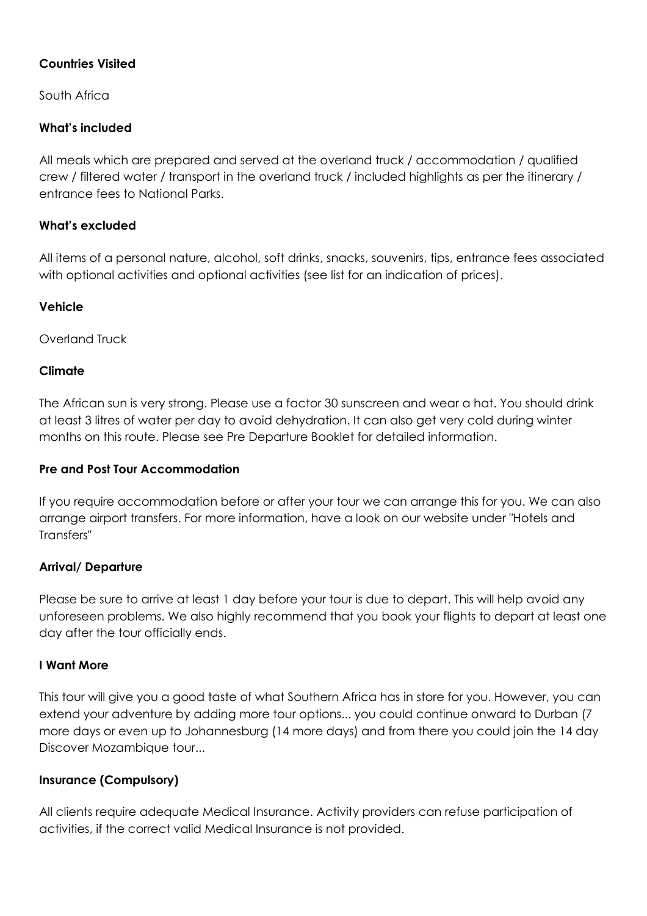#### **Countries Visited**

South Africa

#### **What's included**

All meals which are prepared and served at the overland truck / accommodation / qualified crew / filtered water / transport in the overland truck / included highlights as per the itinerary / entrance fees to National Parks.

#### **What's excluded**

All items of a personal nature, alcohol, soft drinks, snacks, souvenirs, tips, entrance fees associated with optional activities and optional activities (see list for an indication of prices).

#### **Vehicle**

Overland Truck

#### **Climate**

The African sun is very strong. Please use a factor 30 sunscreen and wear a hat. You should drink at least 3 litres of water per day to avoid dehydration. It can also get very cold during winter months on this route. Please see Pre Departure Booklet for detailed information.

#### **Pre and Post Tour Accommodation**

If you require accommodation before or after your tour we can arrange this for you. We can also arrange airport transfers. For more information, have a look on our website under "Hotels and Transfers"

#### **Arrival/ Departure**

Please be sure to arrive at least 1 day before your tour is due to depart. This will help avoid any unforeseen problems. We also highly recommend that you book your flights to depart at least one day after the tour officially ends.

#### **I Want More**

This tour will give you a good taste of what Southern Africa has in store for you. However, you can extend your adventure by adding more tour options... you could continue onward to Durban (7 more days or even up to Johannesburg (14 more days) and from there you could join the 14 day Discover Mozambique tour...

#### **Insurance (Compulsory)**

All clients require adequate Medical Insurance. Activity providers can refuse participation of activities, if the correct valid Medical Insurance is not provided.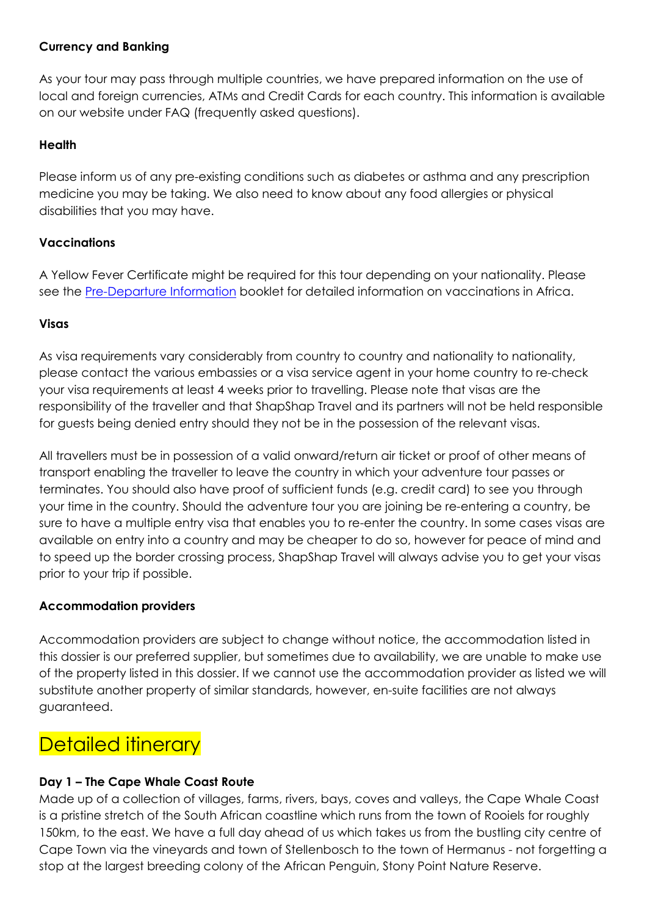#### **Currency and Banking**

As your tour may pass through multiple countries, we have prepared information on the use of local and foreign currencies, ATMs and Credit Cards for each country. This information is available on our website under FAQ (frequently asked questions).

#### **Health**

Please inform us of any pre-existing conditions such as diabetes or asthma and any prescription medicine you may be taking. We also need to know about any food allergies or physical disabilities that you may have.

#### **Vaccinations**

A Yellow Fever Certificate might be required for this tour depending on your nationality. Please see the Pre-Departure Information booklet for detailed information on vaccinations in Africa.

#### **Visas**

As visa requirements vary considerably from country to country and nationality to nationality, please contact the various embassies or a visa service agent in your home country to re-check your visa requirements at least 4 weeks prior to travelling. Please note that visas are the responsibility of the traveller and that ShapShap Travel and its partners will not be held responsible for guests being denied entry should they not be in the possession of the relevant visas.

All travellers must be in possession of a valid onward/return air ticket or proof of other means of transport enabling the traveller to leave the country in which your adventure tour passes or terminates. You should also have proof of sufficient funds (e.g. credit card) to see you through your time in the country. Should the adventure tour you are joining be re-entering a country, be sure to have a multiple entry visa that enables you to re-enter the country. In some cases visas are available on entry into a country and may be cheaper to do so, however for peace of mind and to speed up the border crossing process, ShapShap Travel will always advise you to get your visas prior to your trip if possible.

#### **Accommodation providers**

Accommodation providers are subject to change without notice, the accommodation listed in this dossier is our preferred supplier, but sometimes due to availability, we are unable to make use of the property listed in this dossier. If we cannot use the accommodation provider as listed we will substitute another property of similar standards, however, en-suite facilities are not always guaranteed.

## Detailed itinerary

#### **Day 1 – The Cape Whale Coast Route**

Made up of a collection of villages, farms, rivers, bays, coves and valleys, the Cape Whale Coast is a pristine stretch of the South African coastline which runs from the town of Rooiels for roughly 150km, to the east. We have a full day ahead of us which takes us from the bustling city centre of Cape Town via the vineyards and town of Stellenbosch to the town of Hermanus - not forgetting a stop at the largest breeding colony of the African Penguin, Stony Point Nature Reserve.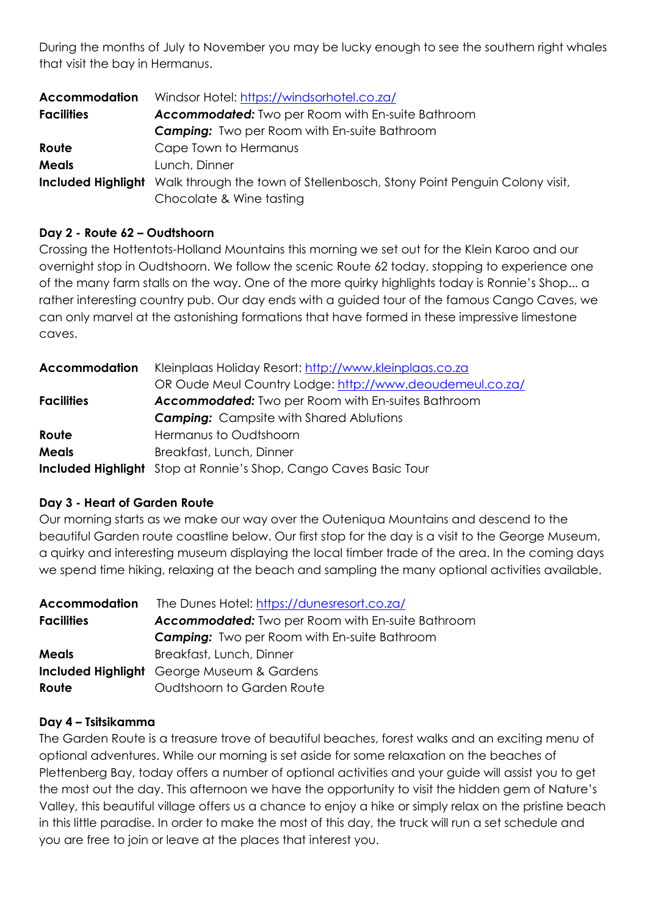During the months of July to November you may be lucky enough to see the southern right whales that visit the bay in Hermanus.

| <b>Accommodation</b> | Windsor Hotel: https://windsorhotel.co.za/                                                         |  |  |
|----------------------|----------------------------------------------------------------------------------------------------|--|--|
| <b>Facilities</b>    | <b>Accommodated:</b> Two per Room with En-suite Bathroom                                           |  |  |
|                      | <b>Camping:</b> Two per Room with En-suite Bathroom                                                |  |  |
| Route                | Cape Town to Hermanus                                                                              |  |  |
| <b>Meals</b>         | Lunch, Dinner                                                                                      |  |  |
|                      | <b>Included Highlight</b> Walk through the town of Stellenbosch, Stony Point Penguin Colony visit, |  |  |
|                      | Chocolate & Wine tasting                                                                           |  |  |

#### **Day 2 - Route 62 – Oudtshoorn**

Crossing the Hottentots-Holland Mountains this morning we set out for the Klein Karoo and our overnight stop in Oudtshoorn. We follow the scenic Route 62 today, stopping to experience one of the many farm stalls on the way. One of the more quirky highlights today is Ronnie's Shop... a rather interesting country pub. Our day ends with a guided tour of the famous Cango Caves, we can only marvel at the astonishing formations that have formed in these impressive limestone caves.

| <b>Accommodation</b> | Kleinplaas Holiday Resort: http://www.kleinplaas.co.za                  |  |
|----------------------|-------------------------------------------------------------------------|--|
|                      | OR Oude Meul Country Lodge: http://www.deoudemeul.co.za/                |  |
| <b>Facilities</b>    | <b>Accommodated:</b> Two per Room with En-suites Bathroom               |  |
|                      | <b>Camping:</b> Campsite with Shared Ablutions                          |  |
| Route                | Hermanus to Oudtshoorn                                                  |  |
| <b>Meals</b>         | Breakfast, Lunch, Dinner                                                |  |
|                      | <b>Included Highlight</b> Stop at Ronnie's Shop, Cango Caves Basic Tour |  |

#### **Day 3 - Heart of Garden Route**

Our morning starts as we make our way over the Outeniqua Mountains and descend to the beautiful Garden route coastline below. Our first stop for the day is a visit to the George Museum, a quirky and interesting museum displaying the local timber trade of the area. In the coming days we spend time hiking, relaxing at the beach and sampling the many optional activities available.

| <b>Accommodation</b> | The Dunes Hotel: https://dunesresort.co.za/              |  |  |
|----------------------|----------------------------------------------------------|--|--|
| <b>Facilities</b>    | <b>Accommodated:</b> Two per Room with En-suite Bathroom |  |  |
|                      | <b>Camping:</b> Two per Room with En-suite Bathroom      |  |  |
| <b>Meals</b>         | Breakfast, Lunch, Dinner                                 |  |  |
|                      | <b>Included Highlight</b> George Museum & Gardens        |  |  |
| Route                | Oudtshoorn to Garden Route                               |  |  |

#### **Day 4 – Tsitsikamma**

The Garden Route is a treasure trove of beautiful beaches, forest walks and an exciting menu of optional adventures. While our morning is set aside for some relaxation on the beaches of Plettenberg Bay, today offers a number of optional activities and your guide will assist you to get the most out the day. This afternoon we have the opportunity to visit the hidden gem of Nature's Valley, this beautiful village offers us a chance to enjoy a hike or simply relax on the pristine beach in this little paradise. In order to make the most of this day, the truck will run a set schedule and you are free to join or leave at the places that interest you.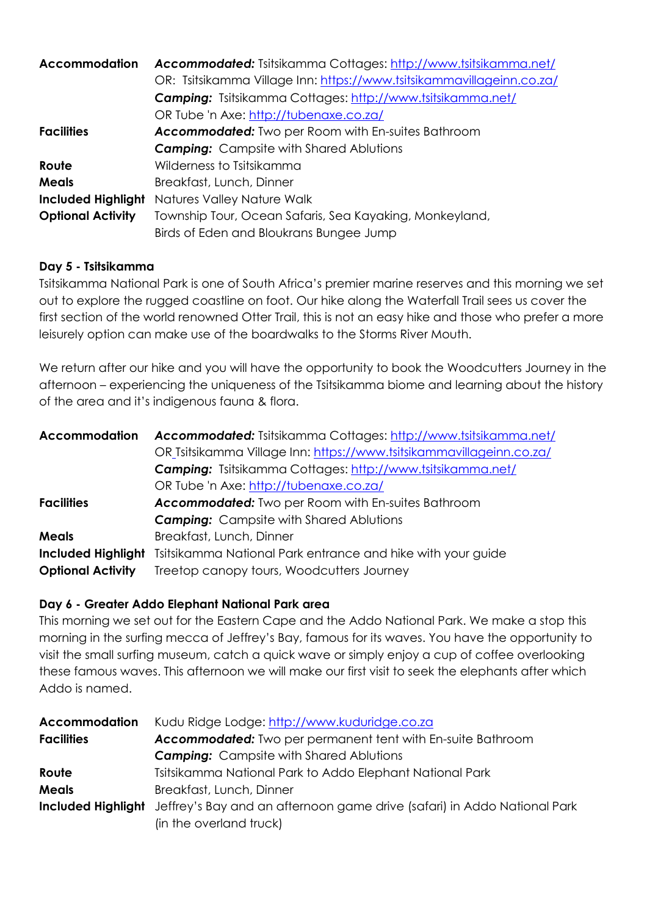| <b>Accommodation</b>      | <b>Accommodated:</b> Tsitsikamma Cottages: http://www.tsitsikamma.net/ |  |  |
|---------------------------|------------------------------------------------------------------------|--|--|
|                           | OR: Tsitsikamma Village Inn: https://www.tsitsikammavillageinn.co.za/  |  |  |
|                           | <b>Camping:</b> Tsitsikamma Cottages: http://www.tsitsikamma.net/      |  |  |
|                           | OR Tube 'n Axe: http://tubenaxe.co.za/                                 |  |  |
| <b>Facilities</b>         | <b>Accommodated:</b> Two per Room with En-suites Bathroom              |  |  |
|                           | <b>Camping:</b> Campsite with Shared Ablutions                         |  |  |
| Route                     | Wilderness to Tsitsikamma                                              |  |  |
| <b>Meals</b>              | Breakfast, Lunch, Dinner                                               |  |  |
| <b>Included Highlight</b> | Natures Valley Nature Walk                                             |  |  |
| <b>Optional Activity</b>  | Township Tour, Ocean Safaris, Sea Kayaking, Monkeyland,                |  |  |
|                           | Birds of Eden and Bloukrans Bungee Jump                                |  |  |

#### **Day 5 - Tsitsikamma**

Tsitsikamma National Park is one of South Africa's premier marine reserves and this morning we set out to explore the rugged coastline on foot. Our hike along the Waterfall Trail sees us cover the first section of the world renowned Otter Trail, this is not an easy hike and those who prefer a more leisurely option can make use of the boardwalks to the Storms River Mouth.

We return after our hike and you will have the opportunity to book the Woodcutters Journey in the afternoon – experiencing the uniqueness of the Tsitsikamma biome and learning about the history of the area and it's indigenous fauna & flora.

| <b>Accommodation</b>      | Accommodated: Tsitsikamma Cottages: http://www.tsitsikamma.net/      |  |  |
|---------------------------|----------------------------------------------------------------------|--|--|
|                           | OR_Tsitsikamma Village Inn: https://www.tsitsikammavillageinn.co.za/ |  |  |
|                           | <b>Camping:</b> Tsitsikamma Cottages: http://www.tsitsikamma.net/    |  |  |
|                           | OR Tube 'n Axe: http://tubenaxe.co.za/                               |  |  |
| <b>Facilities</b>         | <b>Accommodated:</b> Two per Room with En-suites Bathroom            |  |  |
|                           | <b>Camping:</b> Campsite with Shared Ablutions                       |  |  |
| <b>Meals</b>              | Breakfast, Lunch, Dinner                                             |  |  |
| <b>Included Highlight</b> | Tsitsikamma National Park entrance and hike with your guide          |  |  |
| <b>Optional Activity</b>  | Treetop canopy tours, Woodcutters Journey                            |  |  |
|                           |                                                                      |  |  |

#### **Day 6 - Greater Addo Elephant National Park area**

This morning we set out for the Eastern Cape and the Addo National Park. We make a stop this morning in the surfing mecca of Jeffrey's Bay, famous for its waves. You have the opportunity to visit the small surfing museum, catch a quick wave or simply enjoy a cup of coffee overlooking these famous waves. This afternoon we will make our first visit to seek the elephants after which Addo is named.

| <b>Accommodation</b> | Kudu Ridge Lodge: http://www.kuduridge.co.za                                                       |  |  |
|----------------------|----------------------------------------------------------------------------------------------------|--|--|
| <b>Facilities</b>    | <b>Accommodated:</b> Two per permanent tent with En-suite Bathroom                                 |  |  |
|                      | <b>Camping:</b> Campsite with Shared Ablutions                                                     |  |  |
| Route                | Tsitsikamma National Park to Addo Elephant National Park                                           |  |  |
| <b>Meals</b>         | Breakfast, Lunch, Dinner                                                                           |  |  |
|                      | <b>Included Highlight</b> Jeffrey's Bay and an afternoon game drive (safari) in Addo National Park |  |  |
|                      | (in the overland truck)                                                                            |  |  |